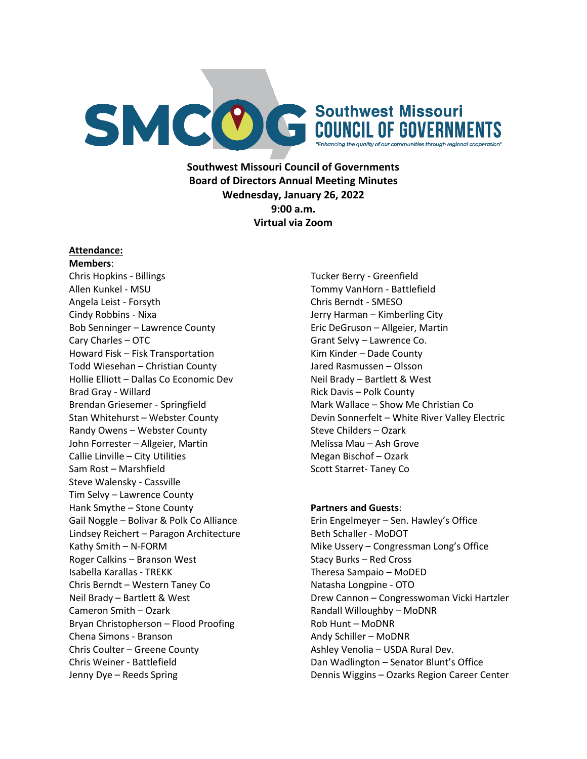

**Southwest Missouri Council of Governments Board of Directors Annual Meeting Minutes Wednesday, January 26, 2022 9:00 a.m. Virtual via Zoom**

#### **Attendance:**

**Members**: Chris Hopkins - Billings Allen Kunkel - MSU Angela Leist - Forsyth Cindy Robbins - Nixa Bob Senninger – Lawrence County Cary Charles – OTC Howard Fisk – Fisk Transportation Todd Wiesehan – Christian County Hollie Elliott – Dallas Co Economic Dev Brad Gray - Willard Brendan Griesemer - Springfield Stan Whitehurst – Webster County Randy Owens – Webster County John Forrester – Allgeier, Martin Callie Linville – City Utilities Sam Rost – Marshfield Steve Walensky - Cassville Tim Selvy – Lawrence County Hank Smythe – Stone County Gail Noggle – Bolivar & Polk Co Alliance Lindsey Reichert – Paragon Architecture Kathy Smith – N-FORM Roger Calkins – Branson West Isabella Karallas - TREKK Chris Berndt – Western Taney Co Neil Brady – Bartlett & West Cameron Smith – Ozark Bryan Christopherson – Flood Proofing Chena Simons - Branson Chris Coulter – Greene County Chris Weiner - Battlefield Jenny Dye – Reeds Spring

Tucker Berry - Greenfield Tommy VanHorn - Battlefield Chris Berndt - SMESO Jerry Harman – Kimberling City Eric DeGruson – Allgeier, Martin Grant Selvy – Lawrence Co. Kim Kinder – Dade County Jared Rasmussen – Olsson Neil Brady – Bartlett & West Rick Davis – Polk County Mark Wallace – Show Me Christian Co Devin Sonnerfelt – White River Valley Electric Steve Childers – Ozark Melissa Mau – Ash Grove Megan Bischof – Ozark Scott Starret- Taney Co

#### **Partners and Guests**:

Erin Engelmeyer – Sen. Hawley's Office Beth Schaller - MoDOT Mike Ussery – Congressman Long's Office Stacy Burks – Red Cross Theresa Sampaio – MoDED Natasha Longpine - OTO Drew Cannon – Congresswoman Vicki Hartzler Randall Willoughby – MoDNR Rob Hunt – MoDNR Andy Schiller – MoDNR Ashley Venolia – USDA Rural Dev. Dan Wadlington – Senator Blunt's Office Dennis Wiggins – Ozarks Region Career Center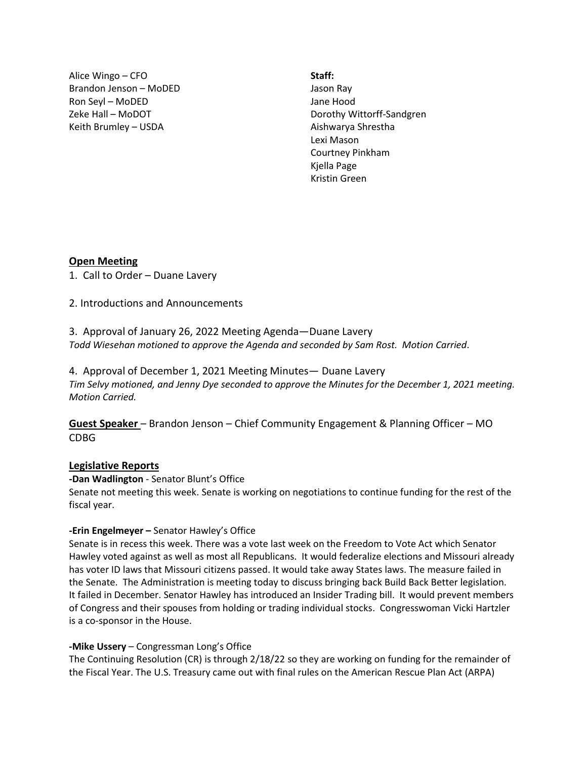Alice Wingo – CFO Brandon Jenson – MoDED Ron Seyl – MoDED Zeke Hall – MoDOT Keith Brumley – USDA

**Staff:** Jason Ray Jane Hood Dorothy Wittorff-Sandgren Aishwarya Shrestha Lexi Mason Courtney Pinkham Kjella Page Kristin Green

### **Open Meeting**

1. Call to Order – Duane Lavery

2. Introductions and Announcements

3. Approval of January 26, 2022 Meeting Agenda—Duane Lavery *Todd Wiesehan motioned to approve the Agenda and seconded by Sam Rost. Motion Carried*.

4. Approval of December 1, 2021 Meeting Minutes— Duane Lavery *Tim Selvy motioned, and Jenny Dye seconded to approve the Minutes for the December 1, 2021 meeting. Motion Carried.*

**Guest Speaker** – Brandon Jenson – Chief Community Engagement & Planning Officer – MO CDBG

### **Legislative Reports**

**-Dan Wadlington** - Senator Blunt's Office

Senate not meeting this week. Senate is working on negotiations to continue funding for the rest of the fiscal year.

### **-Erin Engelmeyer –** Senator Hawley's Office

Senate is in recess this week. There was a vote last week on the Freedom to Vote Act which Senator Hawley voted against as well as most all Republicans. It would federalize elections and Missouri already has voter ID laws that Missouri citizens passed. It would take away States laws. The measure failed in the Senate. The Administration is meeting today to discuss bringing back Build Back Better legislation. It failed in December. Senator Hawley has introduced an Insider Trading bill. It would prevent members of Congress and their spouses from holding or trading individual stocks. Congresswoman Vicki Hartzler is a co-sponsor in the House.

### **-Mike Ussery** – Congressman Long's Office

The Continuing Resolution (CR) is through 2/18/22 so they are working on funding for the remainder of the Fiscal Year. The U.S. Treasury came out with final rules on the American Rescue Plan Act (ARPA)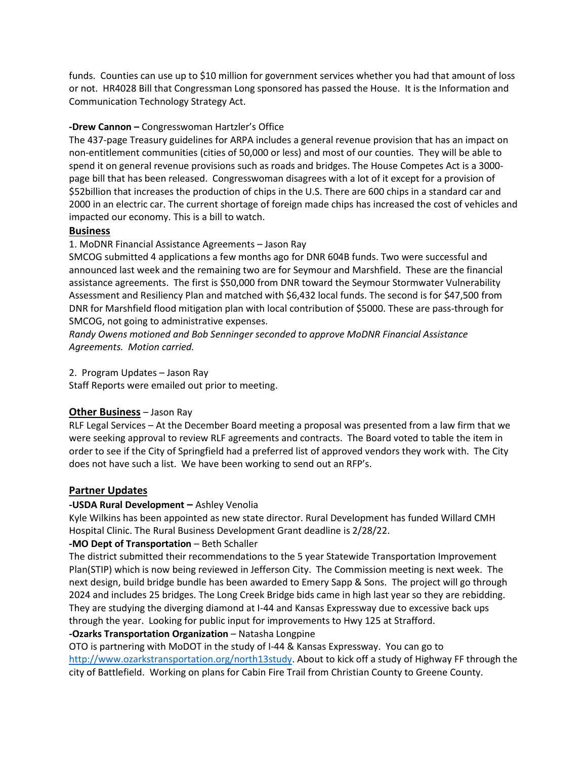funds. Counties can use up to \$10 million for government services whether you had that amount of loss or not. HR4028 Bill that Congressman Long sponsored has passed the House. It is the Information and Communication Technology Strategy Act.

### **-Drew Cannon –** Congresswoman Hartzler's Office

The 437-page Treasury guidelines for ARPA includes a general revenue provision that has an impact on non-entitlement communities (cities of 50,000 or less) and most of our counties. They will be able to spend it on general revenue provisions such as roads and bridges. The House Competes Act is a 3000 page bill that has been released. Congresswoman disagrees with a lot of it except for a provision of \$52billion that increases the production of chips in the U.S. There are 600 chips in a standard car and 2000 in an electric car. The current shortage of foreign made chips has increased the cost of vehicles and impacted our economy. This is a bill to watch.

### **Business**

## 1. MoDNR Financial Assistance Agreements – Jason Ray

SMCOG submitted 4 applications a few months ago for DNR 604B funds. Two were successful and announced last week and the remaining two are for Seymour and Marshfield. These are the financial assistance agreements. The first is \$50,000 from DNR toward the Seymour Stormwater Vulnerability Assessment and Resiliency Plan and matched with \$6,432 local funds. The second is for \$47,500 from DNR for Marshfield flood mitigation plan with local contribution of \$5000. These are pass-through for SMCOG, not going to administrative expenses.

*Randy Owens motioned and Bob Senninger seconded to approve MoDNR Financial Assistance Agreements. Motion carried.*

2. Program Updates – Jason Ray

Staff Reports were emailed out prior to meeting.

### **Other Business** – Jason Ray

RLF Legal Services – At the December Board meeting a proposal was presented from a law firm that we were seeking approval to review RLF agreements and contracts. The Board voted to table the item in order to see if the City of Springfield had a preferred list of approved vendors they work with. The City does not have such a list. We have been working to send out an RFP's.

## **Partner Updates**

### **-USDA Rural Development –** Ashley Venolia

Kyle Wilkins has been appointed as new state director. Rural Development has funded Willard CMH Hospital Clinic. The Rural Business Development Grant deadline is 2/28/22.

### **-MO Dept of Transportation** – Beth Schaller

The district submitted their recommendations to the 5 year Statewide Transportation Improvement Plan(STIP) which is now being reviewed in Jefferson City. The Commission meeting is next week. The next design, build bridge bundle has been awarded to Emery Sapp & Sons. The project will go through 2024 and includes 25 bridges. The Long Creek Bridge bids came in high last year so they are rebidding. They are studying the diverging diamond at I-44 and Kansas Expressway due to excessive back ups through the year. Looking for public input for improvements to Hwy 125 at Strafford.

# **-Ozarks Transportation Organization** – Natasha Longpine

OTO is partnering with MoDOT in the study of I-44 & Kansas Expressway. You can go to [http://www.ozarkstransportation.org/north13study.](http://www.ozarkstransportation.org/north13study) About to kick off a study of Highway FF through the city of Battlefield. Working on plans for Cabin Fire Trail from Christian County to Greene County.